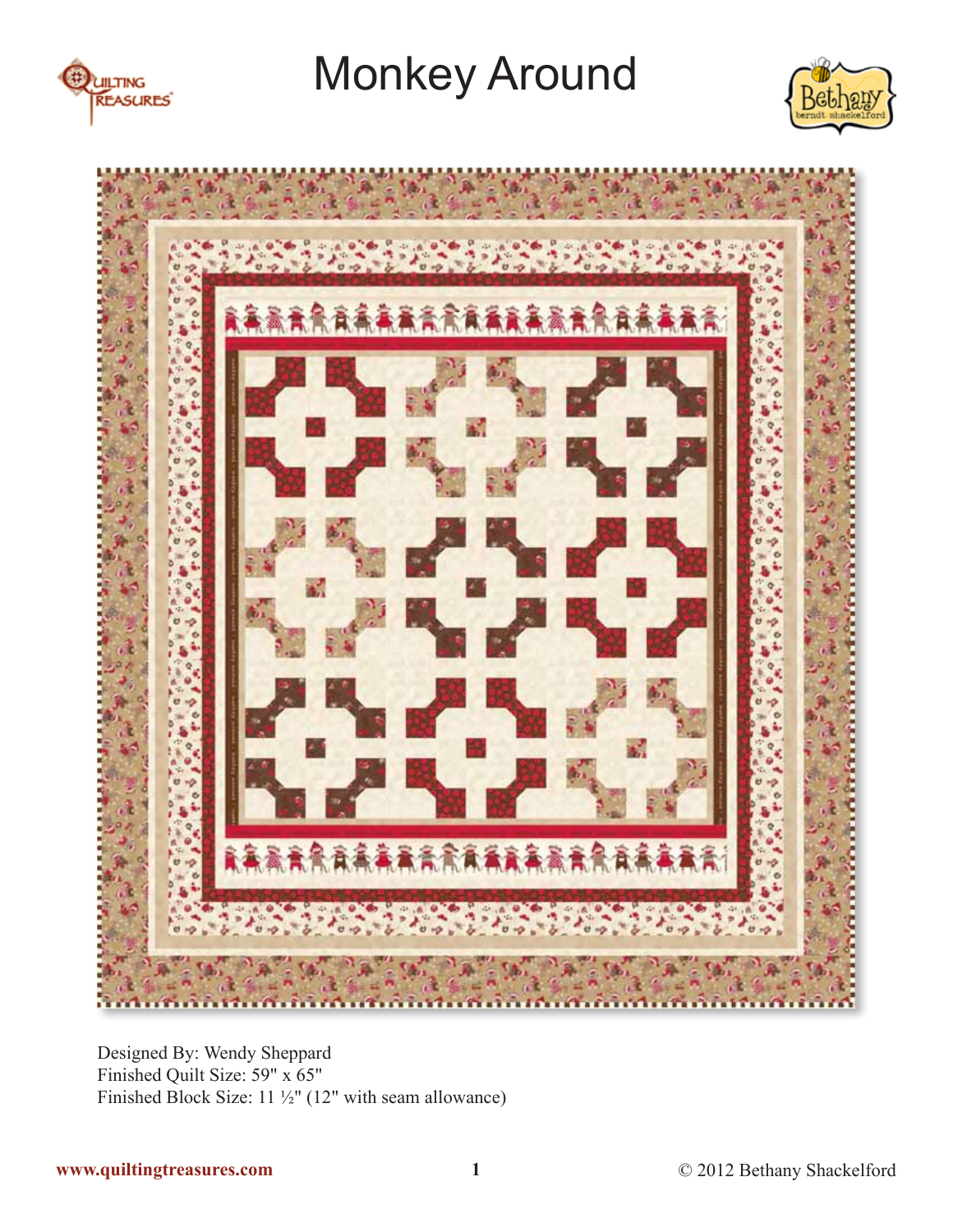





Designed By: Wendy Sheppard Finished Quilt Size: 59" x 65" Finished Block Size: 11 ½" (12" with seam allowance)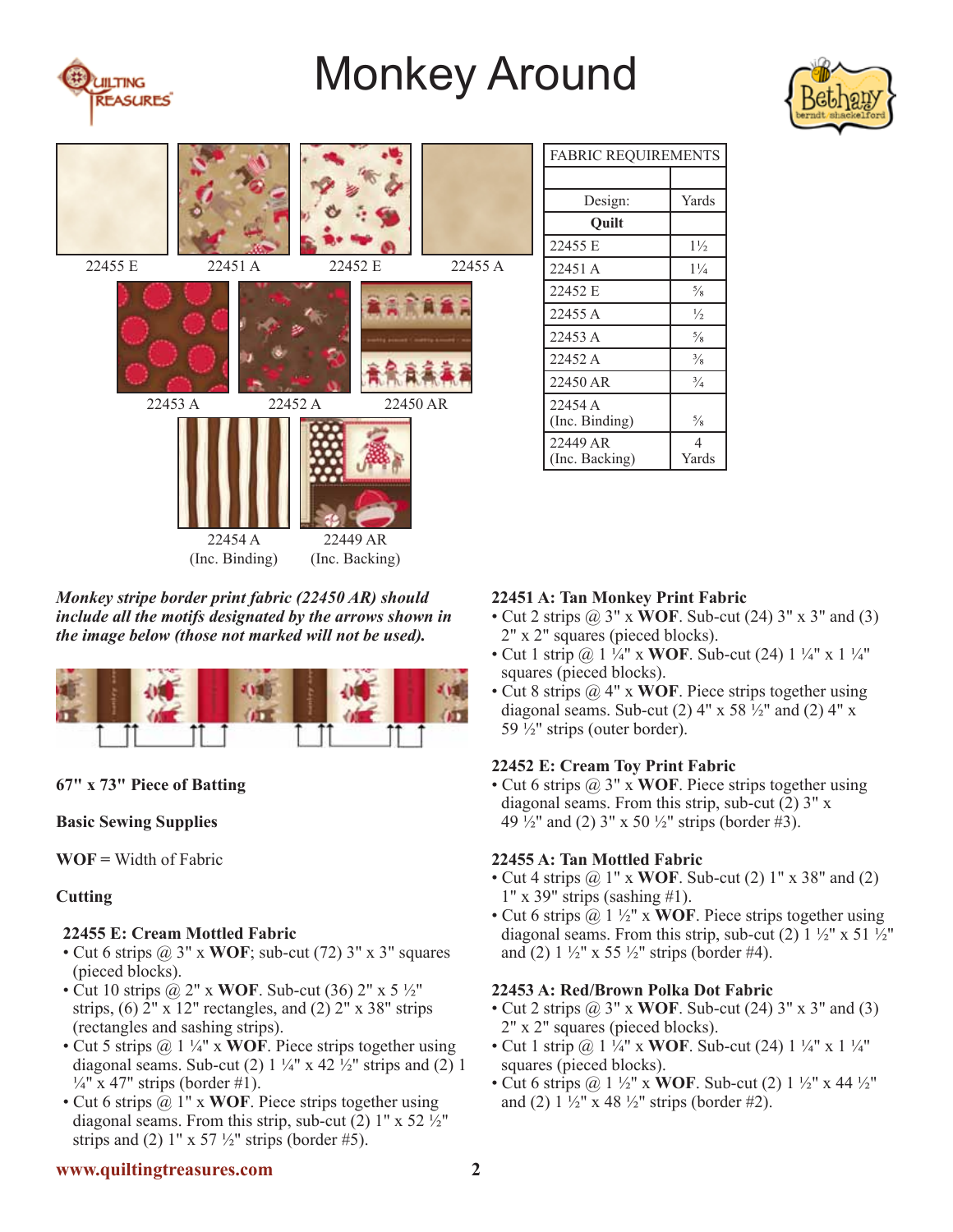





#### *Monkey stripe border print fabric (22450 AR) should include all the motifs designated by the arrows shown in the image below (those not marked will not be used).*



## **67" x 73" Piece of Batting**

#### **Basic Sewing Supplies**

**WOF =** Width of Fabric

## **Cutting**

## **22455 E: Cream Mottled Fabric**

- Cut 6 strips @ 3" x **WOF**; sub-cut (72) 3" x 3" squares (pieced blocks).
- Cut 10 strips @ 2" x **WOF**. Sub-cut (36) 2" x 5 ½" strips,  $(6)$  2" x 12" rectangles, and  $(2)$  2" x 38" strips (rectangles and sashing strips).
- Cut 5 strips @ 1 ¼" x **WOF**. Piece strips together using diagonal seams. Sub-cut (2)  $1\frac{1}{4}$ " x 42  $\frac{1}{2}$ " strips and (2) 1  $\frac{1}{4}$ " x 47" strips (border #1).
- Cut 6 strips @ 1" x **WOF**. Piece strips together using diagonal seams. From this strip, sub-cut  $(2)$  1" x 52  $\frac{1}{2}$ " strips and (2)  $1'' \times 57 \frac{1}{2}$  strips (border #5).

| <b>FABRIC REQUIREMENTS</b> |                |
|----------------------------|----------------|
|                            |                |
| Design:                    | Yards          |
| Ouilt                      |                |
| 22455 E                    | $1\frac{1}{2}$ |
| 22451 A                    | $1\frac{1}{4}$ |
| 22452 E                    | $\frac{5}{8}$  |
| 22455 A                    | $\frac{1}{2}$  |
| 22453 A                    | $\frac{5}{8}$  |
| 22452 A                    | $\frac{3}{8}$  |
| 22450 AR                   | $\frac{3}{4}$  |
| 22454 A<br>(Inc. Binding)  | $\frac{5}{8}$  |
| 22449 AR<br>(Inc. Backing) | 4<br>Yards     |

#### **22451 A: Tan Monkey Print Fabric**

- Cut 2 strips @ 3" x **WOF**. Sub-cut (24) 3" x 3" and (3) 2" x 2" squares (pieced blocks).
- Cut 1 strip @ 1 ¼" x **WOF**. Sub-cut (24) 1 ¼" x 1 ¼" squares (pieced blocks).
- Cut 8 strips @ 4" x **WOF**. Piece strips together using diagonal seams. Sub-cut (2)  $4'' \times 58\frac{1}{2}$  and (2)  $4'' \times$ 59  $\frac{1}{2}$ " strips (outer border).

## **22452 E: Cream Toy Print Fabric**

• Cut 6 strips @ 3" x **WOF**. Piece strips together using diagonal seams. From this strip, sub-cut (2) 3" x 49  $\frac{1}{2}$ " and (2) 3" x 50  $\frac{1}{2}$ " strips (border #3).

#### **22455 A: Tan Mottled Fabric**

- Cut 4 strips @ 1" x **WOF**. Sub-cut (2) 1" x 38" and (2) 1" x 39" strips (sashing #1).
- Cut 6 strips @ 1 ½" x **WOF**. Piece strips together using diagonal seams. From this strip, sub-cut (2)  $1\frac{1}{2}$ " x 51  $\frac{1}{2}$ " and (2)  $1\frac{1}{2}$ " x 55  $\frac{1}{2}$ " strips (border #4).

#### **22453 A: Red/Brown Polka Dot Fabric**

- Cut 2 strips @ 3" x **WOF**. Sub-cut (24) 3" x 3" and (3) 2" x 2" squares (pieced blocks).
- Cut 1 strip @ 1 ¼" x **WOF**. Sub-cut (24) 1 ¼" x 1 ¼" squares (pieced blocks).
- Cut 6 strips @ 1 ½" x **WOF**. Sub-cut (2) 1 ½" x 44 ½" and (2)  $1\frac{1}{2}$ " x 48  $\frac{1}{2}$ " strips (border #2).

## **www.quiltingtreasures.com 2**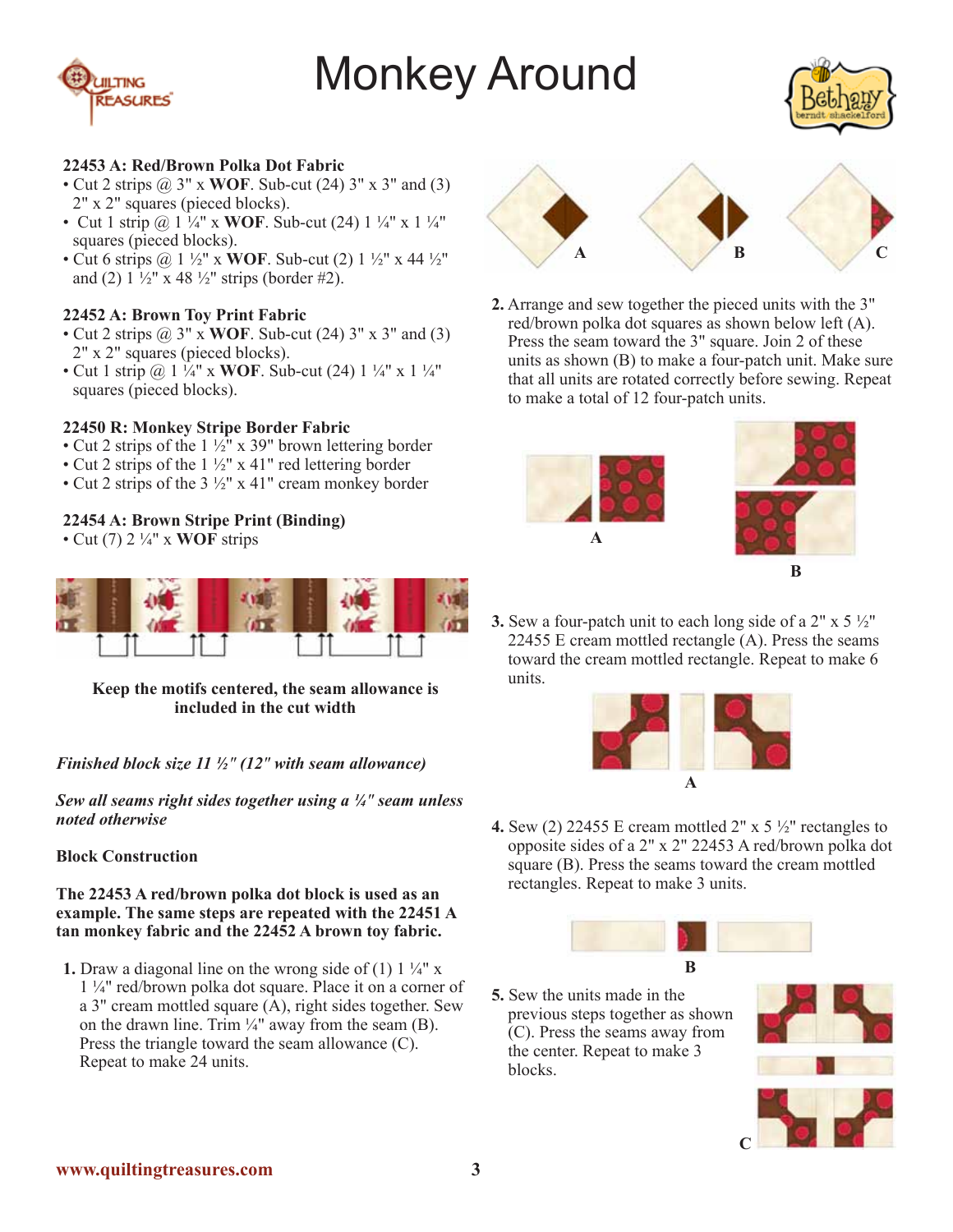



#### **22453 A: Red/Brown Polka Dot Fabric**

- Cut 2 strips @ 3" x **WOF**. Sub-cut (24) 3" x 3" and (3) 2" x 2" squares (pieced blocks).
- Cut 1 strip @ 1 ¼" x **WOF**. Sub-cut (24) 1 ¼" x 1 ¼" squares (pieced blocks).
- Cut 6 strips @ 1 ½" x **WOF**. Sub-cut (2) 1 ½" x 44 ½" and (2)  $1\frac{1}{2}$ " x 48  $\frac{1}{2}$ " strips (border #2).

## **22452 A: Brown Toy Print Fabric**

- Cut 2 strips @ 3" x **WOF**. Sub-cut (24) 3" x 3" and (3) 2" x 2" squares (pieced blocks).
- Cut 1 strip @ 1 ¼" x **WOF**. Sub-cut (24) 1 ¼" x 1 ¼" squares (pieced blocks).

## **22450 R: Monkey Stripe Border Fabric**

- Cut 2 strips of the  $1\frac{1}{2}$ " x 39" brown lettering border
- Cut 2 strips of the 1 ½" x 41" red lettering border
- Cut 2 strips of the  $3\frac{1}{2}$ " x 41" cream monkey border

## **22454 A: Brown Stripe Print (Binding)**

• Cut (7) 2 ¼" x **WOF** strips



#### **Keep the motifs centered, the seam allowance is included in the cut width**

#### *Finished block size 11 ½" (12" with seam allowance)*

*Sew all seams right sides together using a ¼" seam unless noted otherwise*

#### **Block Construction**

#### **The 22453 A red/brown polka dot block is used as an example. The same steps are repeated with the 22451 A tan monkey fabric and the 22452 A brown toy fabric.**

**1.** Draw a diagonal line on the wrong side of (1)  $1\frac{1}{4}$ " x 1 ¼" red/brown polka dot square. Place it on a corner of a 3" cream mottled square  $(A)$ , right sides together. Sew on the drawn line. Trim  $\frac{1}{4}$ " away from the seam (B). Press the triangle toward the seam allowance (C). Repeat to make 24 units.



**2.** Arrange and sew together the pieced units with the 3" red/brown polka dot squares as shown below left (A). Press the seam toward the 3" square. Join 2 of these units as shown (B) to make a four-patch unit. Make sure that all units are rotated correctly before sewing. Repeat to make a total of 12 four-patch units.



**3.** Sew a four-patch unit to each long side of a 2" x 5 ½" 22455 E cream mottled rectangle (A). Press the seams toward the cream mottled rectangle. Repeat to make 6 units.



**4.** Sew (2) 22455 E cream mottled 2" x 5 ½" rectangles to opposite sides of a 2" x 2" 22453 A red/brown polka dot square (B). Press the seams toward the cream mottled rectangles. Repeat to make 3 units.



**5.** Sew the units made in the previous steps together as shown (C). Press the seams away from the center. Repeat to make 3 blocks.

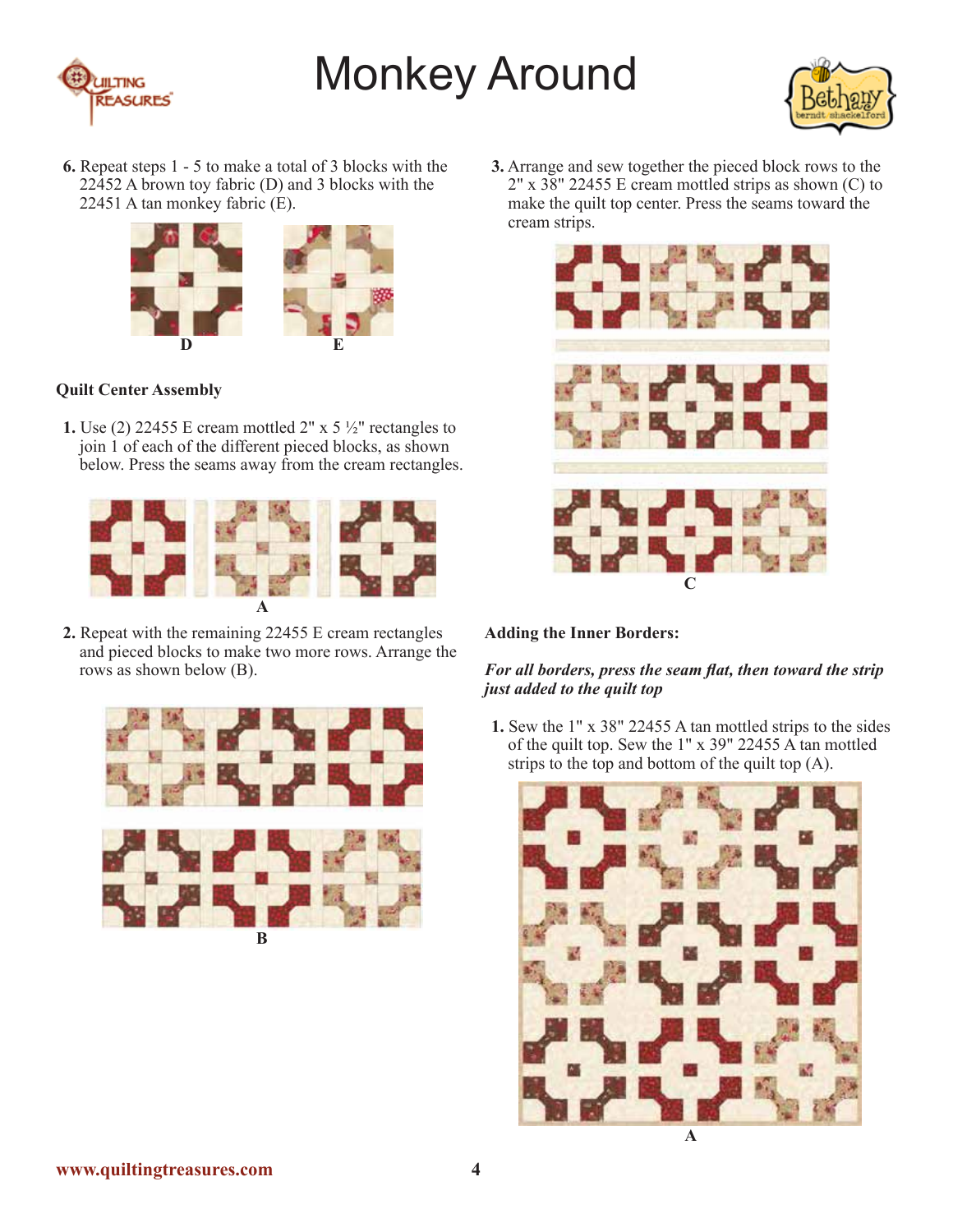



**6.** Repeat steps 1 - 5 to make a total of 3 blocks with the 22452 A brown toy fabric (D) and 3 blocks with the 22451 A tan monkey fabric (E).



## **Quilt Center Assembly**

**1.** Use (2) 22455 E cream mottled 2" x 5 ½" rectangles to join 1 of each of the different pieced blocks, as shown below. Press the seams away from the cream rectangles.



**2.** Repeat with the remaining 22455 E cream rectangles and pieced blocks to make two more rows. Arrange the rows as shown below (B).



**3.** Arrange and sew together the pieced block rows to the 2" x 38" 22455 E cream mottled strips as shown (C) to make the quilt top center. Press the seams toward the cream strips.



## **Adding the Inner Borders:**

#### *For all borders, press the seam flat, then toward the strip just added to the quilt top*

**1.** Sew the 1" x 38" 22455 A tan mottled strips to the sides of the quilt top. Sew the 1" x 39" 22455 A tan mottled strips to the top and bottom of the quilt top (A).